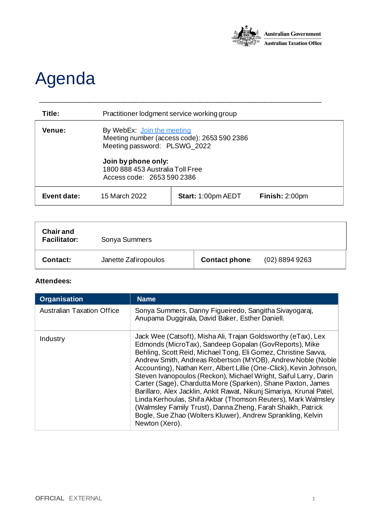

## Agenda

| Title:      | Practitioner lodgment service working group                                                                                                                                                        |                           |                |
|-------------|----------------------------------------------------------------------------------------------------------------------------------------------------------------------------------------------------|---------------------------|----------------|
| Venue:      | By WebEx: Join the meeting<br>Meeting number (access code): 2653 590 2386<br>Meeting password: PLSWG_2022<br>Join by phone only:<br>1800 888 453 Australia Toll Free<br>Access code: 2653 590 2386 |                           |                |
| Event date: | 15 March 2022                                                                                                                                                                                      | <b>Start: 1:00pm AEDT</b> | Finish: 2:00pm |

\_\_\_\_\_\_\_\_\_\_\_\_\_\_\_\_\_\_\_\_\_\_\_\_\_\_\_\_\_\_\_\_\_\_\_\_\_\_\_\_\_\_\_\_\_\_\_\_\_\_\_\_\_\_\_\_\_\_\_\_\_\_\_\_\_\_\_\_\_\_\_\_\_\_

| <b>Chair and</b><br><b>Facilitator:</b> | Sonya Summers        |                      |                  |
|-----------------------------------------|----------------------|----------------------|------------------|
| <b>Contact:</b>                         | Janette Zafiropoulos | <b>Contact phone</b> | $(02)$ 8894 9263 |

## **Attendees:**

| <b>Organisation</b>               | <b>Name</b>                                                                                                                                                                                                                                                                                                                                                                                                                                                                                                                                                                                                                                                                                                                                                  |
|-----------------------------------|--------------------------------------------------------------------------------------------------------------------------------------------------------------------------------------------------------------------------------------------------------------------------------------------------------------------------------------------------------------------------------------------------------------------------------------------------------------------------------------------------------------------------------------------------------------------------------------------------------------------------------------------------------------------------------------------------------------------------------------------------------------|
| <b>Australian Taxation Office</b> | Sonya Summers, Danny Figueiredo, Sangitha Sivayogarai,<br>Anupama Duggirala, David Baker, Esther Daniell.                                                                                                                                                                                                                                                                                                                                                                                                                                                                                                                                                                                                                                                    |
| Industry                          | Jack Wee (Catsoft), Misha Ali, Trajan Goldsworthy (eTax), Lex<br>Edmonds (MicroTax), Sandeep Gopalan (GovReports), Mike<br>Behling, Scott Reid, Michael Tong, Eli Gomez, Christine Savva,<br>Andrew Smith, Andreas Robertson (MYOB), Andrew Noble (Noble<br>Accounting), Nathan Kerr, Albert Lillie (One-Click), Kevin Johnson,<br>Steven Ivanopoulos (Reckon), Michael Wright, Saiful Larry, Darin<br>Carter (Sage), Chardutta More (Sparken), Shane Paxton, James<br>Barillaro, Alex Jacklin, Ankit Rawat, Nikunj Simariya, Krunal Patel,<br>Linda Kerhoulas, Shifa Akbar (Thomson Reuters), Mark Walmsley<br>(Walmsley Family Trust), Danna Zheng, Farah Shaikh, Patrick<br>Bogle, Sue Zhao (Wolters Kluwer), Andrew Sprankling, Kelvin<br>Newton (Xero). |